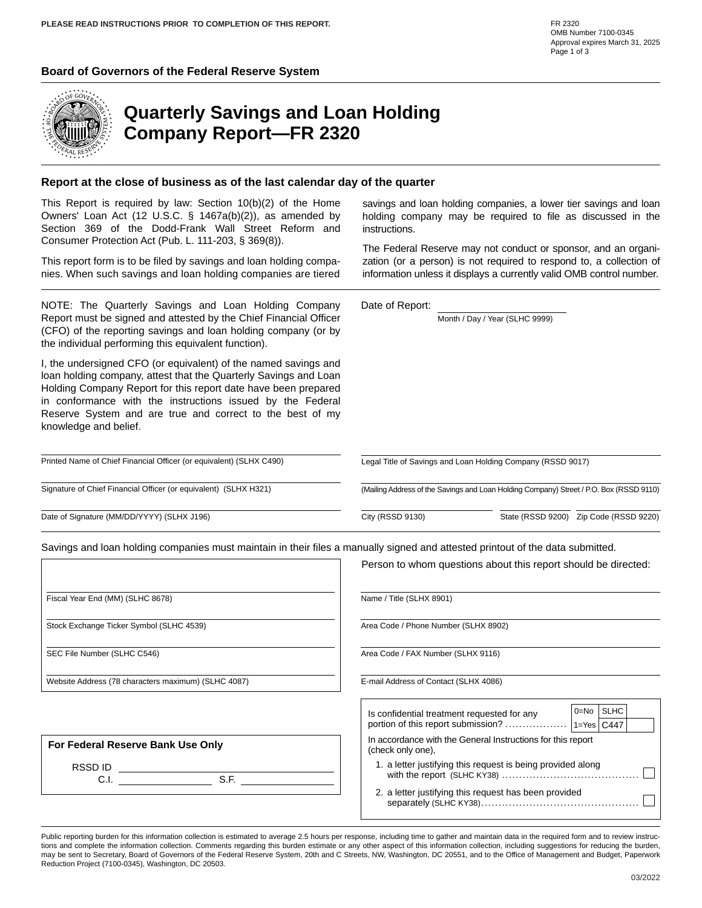#### **Board of Governors of the Federal Reserve System**



### **Quarterly Savings and Loan Holding Company Report—FR 2320**

#### **Report at the close of business as of the last calendar day of the quarter**

This Report is required by law: Section 10(b)(2) of the Home Owners' Loan Act (12 U.S.C. § 1467a(b)(2)), as amended by Section 369 of the Dodd-Frank Wall Street Reform and Consumer Protection Act (Pub. L. 111-203, § 369(8)).

This report form is to be filed by savings and loan holding companies. When such savings and loan holding companies are tiered

NOTE: The Quarterly Savings and Loan Holding Company Report must be signed and attested by the Chief Financial Officer (CFO) of the reporting savings and loan holding company (or by the individual performing this equivalent function).

I, the undersigned CFO (or equivalent) of the named savings and loan holding company, attest that the Quarterly Savings and Loan Holding Company Report for this report date have been prepared in conformance with the instructions issued by the Federal Reserve System and are true and correct to the best of my knowledge and belief.

savings and loan holding companies, a lower tier savings and loan holding company may be required to file as discussed in the instructions.

The Federal Reserve may not conduct or sponsor, and an organization (or a person) is not required to respond to, a collection of information unless it displays a currently valid OMB control number.

Date of Report:

Month / Day / Year (SLHC 9999)

Legal Title of Savings and Loan Holding Company (RSSD 9017)

Signature of Chief Financial Officer (or equivalent) (SLHX H321)

Printed Name of Chief Financial Officer (or equivalent) (SLHX C490)

Date of Signature (MM/DD/YYYY) (SLHX J196)

Savings and loan holding companies must maintain in their files a manually signed and attested printout of the data submitted.

(Mailing Address of the Savings and Loan Holding Company) Street / P.O. Box (RSSD 9110)

 $\overline{\phantom{0}}$ 

City (RSSD 9130) State (RSSD 9200) Zip Code (RSSD 9220)

|                                                                                                           | Person to whom questions about this report should be directed:                   |  |  |  |  |  |  |
|-----------------------------------------------------------------------------------------------------------|----------------------------------------------------------------------------------|--|--|--|--|--|--|
| Fiscal Year End (MM) (SLHC 8678)                                                                          | Name / Title (SLHX 8901)                                                         |  |  |  |  |  |  |
| Stock Exchange Ticker Symbol (SLHC 4539)                                                                  | Area Code / Phone Number (SLHX 8902)                                             |  |  |  |  |  |  |
| SEC File Number (SLHC C546)                                                                               | Area Code / FAX Number (SLHX 9116)                                               |  |  |  |  |  |  |
| Website Address (78 characters maximum) (SLHC 4087)<br>E-mail Address of Contact (SLHX 4086)              |                                                                                  |  |  |  |  |  |  |
|                                                                                                           | 0=No   SLHC<br>Is confidential treatment requested for any                       |  |  |  |  |  |  |
| For Federal Reserve Bank Use Only                                                                         | In accordance with the General Instructions for this report<br>(check only one), |  |  |  |  |  |  |
| $\begin{array}{c c}\n\text{RSSD ID} & \xrightarrow{\text{S.E.}} & \xrightarrow{\text{S.E.}}\n\end{array}$ | 1. a letter justifying this request is being provided along                      |  |  |  |  |  |  |
|                                                                                                           | 2. a letter justifying this request has been provided                            |  |  |  |  |  |  |

Public reporting burden for this information collection is estimated to average 2.5 hours per response, including time to gather and maintain data in the required form and to review instructions and complete the information collection. Comments regarding this burden estimate or any other aspect of this information collection, including suggestions for reducing the burden, may be sent to Secretary, Board of Governors of the Federal Reserve System, 20th and C Streets, NW, Washington, DC 20551, and to the Office of Management and Budget, Paperwork Reduction Project (7100-0345), Washington, DC 20503.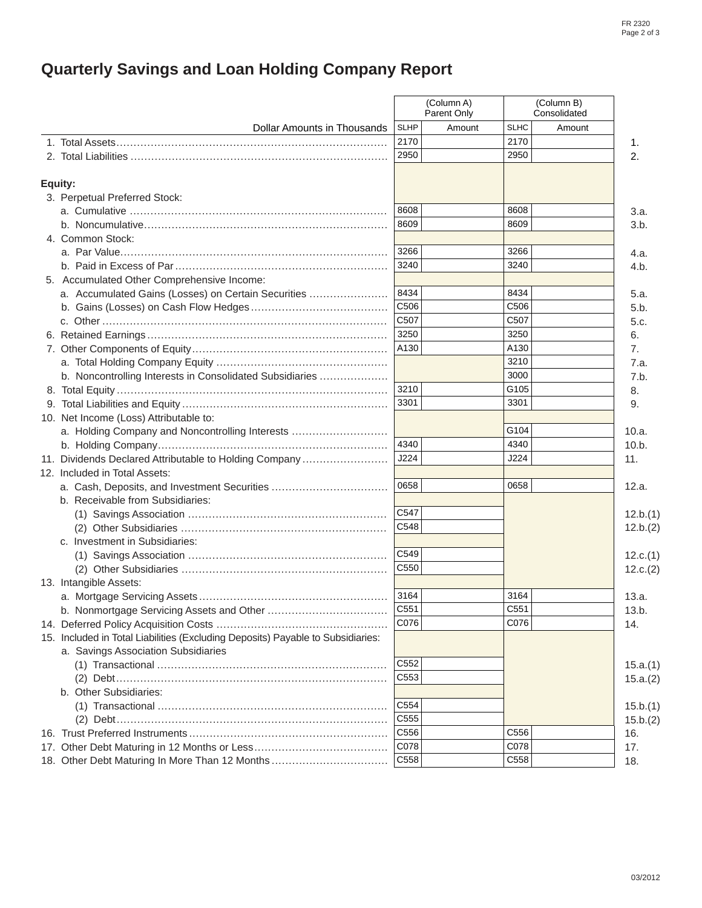# **Quarterly Savings and Loan Holding Company Report**

|                                                                                 |                  | (Column A)<br>Parent Only |             | (Column B)<br>Consolidated | 1.<br>2. |
|---------------------------------------------------------------------------------|------------------|---------------------------|-------------|----------------------------|----------|
| Dollar Amounts in Thousands                                                     | <b>SLHP</b>      | Amount                    | <b>SLHC</b> | Amount                     |          |
|                                                                                 | 2170             |                           | 2170        |                            |          |
| 2. Total Liabilities …………………………………………………………………                                  | 2950             |                           | 2950        |                            |          |
| Equity:                                                                         |                  |                           |             |                            |          |
| 3. Perpetual Preferred Stock:                                                   |                  |                           |             |                            |          |
|                                                                                 | 8608             |                           | 8608        |                            | 3.a.     |
|                                                                                 | 8609             |                           | 8609        |                            | 3.b.     |
| 4. Common Stock:                                                                |                  |                           |             |                            |          |
|                                                                                 | 3266             |                           | 3266        |                            | 4.a.     |
|                                                                                 | 3240             |                           | 3240        |                            | 4.b.     |
| 5. Accumulated Other Comprehensive Income:                                      |                  |                           |             |                            |          |
| a. Accumulated Gains (Losses) on Certain Securities                             | 8434             |                           | 8434        |                            | 5.a.     |
|                                                                                 | C506             |                           | C506        |                            | 5.b.     |
|                                                                                 | C507             |                           | C507        |                            | 5.c.     |
|                                                                                 | 3250             |                           | 3250        |                            | 6.       |
|                                                                                 | A130             |                           | A130        |                            | 7.       |
|                                                                                 |                  |                           | 3210        |                            | 7.a.     |
| b. Noncontrolling Interests in Consolidated Subsidiaries                        |                  |                           | 3000        |                            | 7.b.     |
|                                                                                 | 3210             |                           | G105        |                            | 8.       |
|                                                                                 | 3301             |                           | 3301        |                            | 9.       |
| 10. Net Income (Loss) Attributable to:                                          |                  |                           |             |                            |          |
| a. Holding Company and Noncontrolling Interests                                 |                  |                           | G104        |                            | 10.a.    |
|                                                                                 | 4340             |                           | 4340        |                            | 10.b.    |
| 11. Dividends Declared Attributable to Holding Company                          | J224             |                           | J224        |                            | 11.      |
| 12. Included in Total Assets:                                                   |                  |                           |             |                            |          |
| a. Cash, Deposits, and Investment Securities                                    | 0658             |                           | 0658        |                            | 12.a.    |
| b. Receivable from Subsidiaries:                                                |                  |                           |             |                            |          |
|                                                                                 | C <sub>547</sub> |                           |             |                            | 12.b.(1) |
|                                                                                 | C548             |                           |             |                            | 12.b.(2) |
| c. Investment in Subsidiaries:                                                  |                  |                           |             |                            |          |
|                                                                                 | C <sub>549</sub> |                           |             |                            | 12.c.(1) |
|                                                                                 | C550             |                           |             |                            | 12.c.(2) |
| 13. Intangible Assets:                                                          |                  |                           |             |                            |          |
|                                                                                 | 3164             |                           | 3164        |                            | 13.a.    |
| b. Nonmortgage Servicing Assets and Other                                       | C551             |                           | C551        |                            | 13.b.    |
|                                                                                 | C076             |                           | C076        |                            | 14.      |
| 15. Included in Total Liabilities (Excluding Deposits) Payable to Subsidiaries: |                  |                           |             |                            |          |
| a. Savings Association Subsidiaries                                             |                  |                           |             |                            |          |
|                                                                                 | C552             |                           |             |                            | 15.a.(1) |
|                                                                                 | C <sub>553</sub> |                           |             |                            | 15.a.(2) |
| b. Other Subsidiaries:                                                          |                  |                           |             |                            |          |
|                                                                                 | C554             |                           |             |                            | 15.b.(1) |
|                                                                                 | C555             |                           |             |                            | 15.b.(2) |
|                                                                                 | C556             |                           | C556        |                            | 16.      |
|                                                                                 | C078             |                           | C078        |                            | 17.      |
| 18. Other Debt Maturing In More Than 12 Months                                  | C558             |                           | C558        |                            | 18.      |